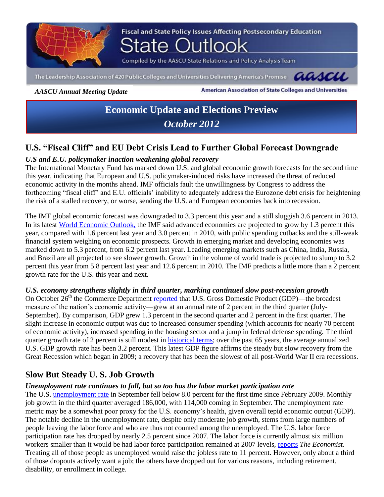

*AASCU Annual Meeting Update*

American Association of State Colleges and Universities

# **Economic Update and Elections Preview** *October 2012*

# **U.S. "Fiscal Cliff" and EU Debt Crisis Lead to Further Global Forecast Downgrade**

# *U.S and E.U. policymaker inaction weakening global recovery*

The International Monetary Fund has marked down U.S. and global economic growth forecasts for the second time this year, indicating that European and U.S. policymaker-induced risks have increased the threat of reduced economic activity in the months ahead. IMF officials fault the unwillingness by Congress to address the forthcoming "fiscal cliff" and E.U. officials' inability to adequately address the Eurozone debt crisis for heightening the risk of a stalled recovery, or worse, sending the U.S. and European economies back into recession.

The IMF global economic forecast was downgraded to 3.3 percent this year and a still sluggish 3.6 percent in 2013. In its latest [World Economic Outlook,](http://www.imf.org/external/np/exr/cs/news/2012/cso235.htm) the IMF said advanced economies are projected to grow by 1.3 percent this year, compared with 1.6 percent last year and 3.0 percent in 2010, with public spending cutbacks and the still-weak financial system weighing on economic prospects. Growth in emerging market and developing economies was marked down to 5.3 percent, from 6.2 percent last year. Leading emerging markets such as China, India, Russia, and Brazil are all projected to see slower growth. Growth in the volume of world trade is projected to slump to 3.2 percent this year from 5.8 percent last year and 12.6 percent in 2010. The IMF predicts a little more than a 2 percent growth rate for the U.S. this year and next.

### *U.S. economy strengthens slightly in third quarter, marking continued slow post-recession growth*

On October 26<sup>th</sup> the Commerce Department [reported](http://www.bea.gov/newsreleases/glance.htm) that U.S. Gross Domestic Product (GDP)—the broadest measure of the nation's economic activity—grew at an annual rate of 2 percent in the third quarter (July-September). By comparison, GDP grew 1.3 percent in the second quarter and 2 percent in the first quarter. The slight increase in economic output was due to increased consumer spending (which accounts for nearly 70 percent of economic activity), increased spending in the housing sector and a jump in federal defense spending. The third quarter growth rate of 2 percent is still modest in [historical terms;](http://www.tradingeconomics.com/united-states/gdp-growth) over the past 65 years, the average annualized U.S. GDP growth rate has been 3.2 percent. This latest GDP figure affirms the steady but slow recovery from the Great Recession which began in 2009; a recovery that has been the slowest of all post-World War II era recessions.

# **Slow But Steady U. S. Job Growth**

## *Unemployment rate continues to fall, but so too has the labor market participation rate*

The U.S. [unemployment rate](http://www.tradingeconomics.com/united-states/unemployment-rate) in September fell below 8.0 percent for the first time since February 2009. Monthly job growth in the third quarter averaged 186,000, with 114,000 coming in September. The unemployment rate metric may be a somewhat poor proxy for the U.S. economy's health, given overall tepid economic output (GDP). The notable decline in the unemployment rate, despite only moderate job growth, stems from large numbers of people leaving the labor force and who are thus not counted among the unemployed. The U.S. labor force participation rate has dropped by nearly 2.5 percent since 2007. The labor force is currently almost six million workers smaller than it would be had labor force participation remained at 2007 levels, [reports](http://www.economist.com/node/21564594) *The Economist*. Treating all of those people as unemployed would raise the jobless rate to 11 percent. However, only about a third of those dropouts actively want a job; the others have dropped out for various reasons, including retirement, disability, or enrollment in college.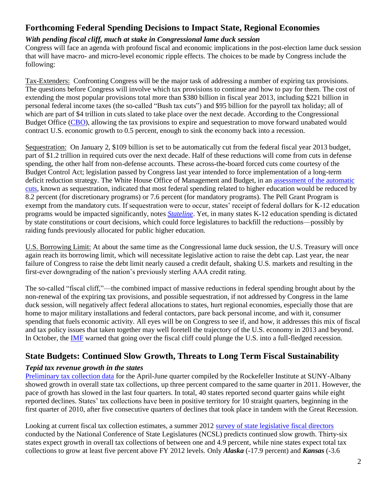# **Forthcoming Federal Spending Decisions to Impact State, Regional Economies**

### *With pending fiscal cliff, much at stake in Congressional lame duck session*

Congress will face an agenda with profound fiscal and economic implications in the post-election lame duck session that will have macro- and micro-level economic ripple effects. The choices to be made by Congress include the following:

Tax-Extenders: Confronting Congress will be the major task of addressing a number of expiring tax provisions. The questions before Congress will involve which tax provisions to continue and how to pay for them. The cost of extending the most popular provisions total more than \$380 billion in fiscal year 2013, including \$221 billion in personal federal income taxes (the so-called "Bush tax cuts") and \$95 billion for the payroll tax holiday; all of which are part of \$4 trillion in cuts slated to take place over the next decade. According to the Congressional Budget Office [\(CBO\)](http://www.cbo.gov/sites/default/files/cbofiles/attachments/08-22-2012-Update_to_Outlook.pdf), allowing the tax provisions to expire and sequestration to move forward unabated would contract U.S. economic growth to 0.5 percent, enough to sink the economy back into a recession.

Sequestration: On January 2, \$109 billion is set to be automatically cut from the federal fiscal year 2013 budget, part of \$1.2 trillion in required cuts over the next decade. Half of these reductions will come from cuts in defense spending, the other half from non-defense accounts. These across-the-board forced cuts come courtesy of the Budget Control Act; legislation passed by Congress last year intended to force implementation of a long-term deficit reduction strategy. The White House Office of Management and Budget, in an [assessment of the automatic](http://www.whitehouse.gov/sites/default/files/omb/assets/legislative_reports/stareport.pdf)  [cuts,](http://www.whitehouse.gov/sites/default/files/omb/assets/legislative_reports/stareport.pdf) known as sequestration, indicated that most federal spending related to higher education would be reduced by 8.2 percent (for discretionary programs) or 7.6 percent (for mandatory programs). The Pell Grant Program is exempt from the mandatory cuts. If sequestration were to occur, states' receipt of federal dollars for K-12 education programs would be impacted significantly, notes *[Stateline](http://www.pewstates.org/projects/stateline/headlines/sequestration-how-a-spending-stalemate-would-affect-the-states-85899418421)*. Yet, in many states K-12 education spending is dictated by state constitutions or court decisions, which could force legislatures to backfill the reductions—possibly by raiding funds previously allocated for public higher education.

U.S. Borrowing Limit: At about the same time as the Congressional lame duck session, the U.S. Treasury will once again reach its borrowing limit, which will necessitate legislative action to raise the debt cap. Last year, the near failure of Congress to raise the debt limit nearly caused a credit default, shaking U.S. markets and resulting in the first-ever downgrading of the nation's previously sterling AAA credit rating.

The so-called "fiscal cliff,"—the combined impact of massive reductions in federal spending brought about by the non-renewal of the expiring tax provisions, and possible sequestration, if not addressed by Congress in the lame duck session, will negatively affect federal allocations to states, hurt regional economies, especially those that are home to major military installations and federal contactors, pare back personal income, and with it, consumer spending that fuels economic activity. All eyes will be on Congress to see if, and how, it addresses this mix of fiscal and tax policy issues that taken together may well foretell the trajectory of the U.S. economy in 2013 and beyond. In October, the [IMF](http://www.imf.org/external/index.htm) warned that going over the fiscal cliff could plunge the U.S. into a full-fledged recession.

# **State Budgets: Continued Slow Growth, Threats to Long Term Fiscal Sustainability**

### *Tepid tax revenue growth in the states*

[Preliminary tax collection data](http://www.rockinst.org/pdf/government_finance/state_revenue_report/Data%20Alert%209.19.12.pdf) for the April-June quarter compiled by the Rockefeller Institute at SUNY-Albany showed growth in overall state tax collections, up three percent compared to the same quarter in 2011. However, the pace of growth has slowed in the last four quarters. In total, 40 states reported second quarter gains while eight reported declines. States' tax collections have been in positive territory for 10 straight quarters, beginning in the first quarter of 2010, after five consecutive quarters of declines that took place in tandem with the Great Recession.

Looking at current fiscal tax collection estimates, a summer 2012 [survey of state legislative fiscal directors](http://www.ncsl.org/documents/fiscal/ProjectedTaxGrowth2013.pdf) conducted by the National Conference of State Legislatures (NCSL) predicts continued slow growth. Thirty-six states expect growth in overall tax collections of between one and 4.9 percent, while nine states expect total tax collections to grow at least five percent above FY 2012 levels. Only *Alaska* (-17.9 percent) and *Kansas* (-3.6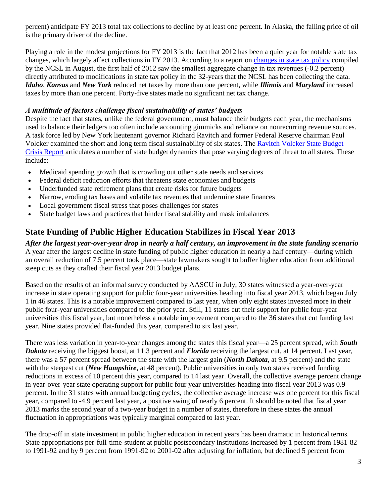percent) anticipate FY 2013 total tax collections to decline by at least one percent. In Alaska, the falling price of oil is the primary driver of the decline.

Playing a role in the modest projections for FY 2013 is the fact that 2012 has been a quiet year for notable state tax changes, which largely affect collections in FY 2013. According to a report on [changes in state tax policy](http://www.ncsl.org/issues-research/budget/state-tax-update-august-2012.aspx) compiled by the NCSL in August, the first half of 2012 saw the smallest aggregate change in tax revenues (-0.2 percent) directly attributed to modifications in state tax policy in the 32-years that the NCSL has been collecting the data. *Idaho*, *Kansas* and *New York* reduced net taxes by more than one percent, while *Illinois* and *Maryland* increased taxes by more than one percent. Forty-five states made no significant net tax change.

### *A multitude of factors challenge fiscal sustainability of states' budgets*

Despite the fact that states, unlike the federal government, must balance their budgets each year, the mechanisms used to balance their ledgers too often include accounting gimmicks and reliance on nonrecurring revenue sources. A task force led by New York lieutenant governor Richard Ravitch and former Federal Reserve chairman Paul Volcker examined the short and long term fiscal sustainability of six states. The [Ravitch Volcker State Budget](http://www.statebudgetcrisis.org/wpcms/)  [Crisis Report](http://www.statebudgetcrisis.org/wpcms/) articulates a number of state budget dynamics that pose varying degrees of threat to all states. These include:

- Medicaid spending growth that is crowding out other state needs and services
- Federal deficit reduction efforts that threatens state economies and budgets
- Underfunded state retirement plans that create risks for future budgets
- Narrow, eroding tax bases and volatile tax revenues that undermine state finances
- Local government fiscal stress that poses challenges for states
- State budget laws and practices that hinder fiscal stability and mask imbalances

# **State Funding of Public Higher Education Stabilizes in Fiscal Year 2013**

*After the largest year-over-year drop in nearly a half century, an improvement in the state funding scenario* A year after the largest decline in state funding of public higher education in nearly a half century—during which an overall reduction of 7.5 percent took place—state lawmakers sought to buffer higher education from additional steep cuts as they crafted their fiscal year 2013 budget plans.

Based on the results of an informal survey conducted by AASCU in July, 30 states witnessed a year-over-year increase in state operating support for public four-year universities heading into fiscal year 2013, which began July 1 in 46 states. This is a notable improvement compared to last year, when only eight states invested more in their public four-year universities compared to the prior year. Still, 11 states cut their support for public four-year universities this fiscal year, but nonetheless a notable improvement compared to the 36 states that cut funding last year. Nine states provided flat-funded this year, compared to six last year.

There was less variation in year-to-year changes among the states this fiscal year—a 25 percent spread, with *South Dakota* receiving the biggest boost, at 11.3 percent and *Florida* receiving the largest cut, at 14 percent. Last year, there was a 57 percent spread between the state with the largest gain (*North Dakota*, at 9.5 percent) and the state with the steepest cut (*New Hampshire*, at 48 percent). Public universities in only two states received funding reductions in excess of 10 percent this year, compared to 14 last year. Overall, the collective average percent change in year-over-year state operating support for public four year universities heading into fiscal year 2013 was 0.9 percent. In the 31 states with annual budgeting cycles, the collective average increase was one percent for this fiscal year, compared to -4.9 percent last year, a positive swing of nearly 6 percent. It should be noted that fiscal year 2013 marks the second year of a two-year budget in a number of states, therefore in these states the annual fluctuation in appropriations was typically marginal compared to last year.

The drop-off in state investment in public higher education in recent years has been dramatic in historical terms. State appropriations per-full-time-student at public postsecondary institutions increased by 1 percent from 1981-82 to 1991-92 and by 9 percent from 1991-92 to 2001-02 after adjusting for inflation, but declined 5 percent from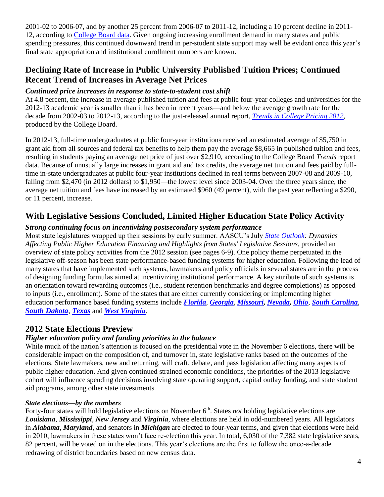2001-02 to 2006-07, and by another 25 percent from 2006-07 to 2011-12, including a 10 percent decline in 2011- 12, according to [College Board data.](http://trends.collegeboard.org/college-pricing) Given ongoing increasing enrollment demand in many states and public spending pressures, this continued downward trend in per-student state support may well be evident once this year's final state appropriation and institutional enrollment numbers are known.

# **Declining Rate of Increase in Public University Published Tuition Prices; Continued Recent Trend of Increases in Average Net Prices**

### *Continued price increases in response to state-to-student cost shift*

At 4.8 percent, the increase in average published tuition and fees at public four-year colleges and universities for the 2012-13 academic year is smaller than it has been in recent years—and below the average growth rate for the decade from 2002-03 to 2012-13, according to the just-released annual report, *[Trends in College Pricing 2012](http://trends.collegeboard.org/college-pricing)*, produced by the College Board.

In 2012-13, full-time undergraduates at public four-year institutions received an estimated average of \$5,750 in grant aid from all sources and federal tax benefits to help them pay the average \$8,665 in published tuition and fees, resulting in students paying an average net price of just over \$2,910, according to the College Board *Trends* report data. Because of unusually large increases in grant aid and tax credits, the average net tuition and fees paid by fulltime in-state undergraduates at public four-year institutions declined in real terms between 2007-08 and 2009-10, falling from \$2,470 (in 2012 dollars) to \$1,950—the lowest level since 2003-04. Over the three years since, the average net tuition and fees have increased by an estimated \$960 (49 percent), with the past year reflecting a \$290, or 11 percent, increase.

# **With Legislative Sessions Concluded, Limited Higher Education State Policy Activity**

### *Strong continuing focus on incentivizing postsecondary system performance*

Most state legislatures wrapped up their sessions by early summer. AASCU's July *[State Outlook:](http://www.aascu.org/policy/specialreports/stateoutlookjuly2012.pdf) Dynamics Affecting Public Higher Education Financing and Highlights from States' Legislative Sessions*, provided an overview of state policy activities from the 2012 session (see pages 6-9). One policy theme perpetuated in the legislative off-season has been state performance-based funding systems for higher education. Following the lead of many states that have implemented such systems, lawmakers and policy officials in several states are in the process of designing funding formulas aimed at incentivizing institutional performance. A key attribute of such systems is an orientation toward rewarding outcomes (i.e., student retention benchmarks and degree completions) as opposed to inputs (i.e., enrollment). Some of the states that are either currently considering or implementing higher education performance based funding systems include *[Florida](http://www.tampabay.com/news/education/college/higher-education-task-force-considers-big-changes-higher-tuition/1256123)*, *[Georgia](http://www.ajc.com/news/news/state-regional-govt-politics/proposal-would-tie-funding-for-georgia-colleges-to/nSkLy/)*, *[Missouri,](http://www.cbsnews.com/8301-505245_162-57537363/mo-legislative-panel-focuses-on-higher-ed-funding/) [Nevada,](http://hechingerreport.org/content/panel-okays-dramatic-change-in-funding-for-nevada-colleges-and-universities_9348/) [Ohio](http://www.governing.com/blogs/view/gov-ohio-colleges-will-create-formula-for-performance-based-funding.html)*, *[South Carolina](http://www.goupstate.com/article/20121010/WIRE/121019964/1083/ARTICLES?Title=Gov-Haley-wants-SC-colleges-to-earn-their-money-)*, *[South Dakota](http://www.argusleader.com/article/20121011/NEWS/310110043/University-money-may-include-performance?nclick_check=1)*, *[Texas](http://www.texastribune.org/texas-education/higher-education/branch-calls-more-outcomes-based-higher-ed-funding/)* and *[West Virginia](http://www.wvmetronews.com/news.cfm?func=displayfullstory&storyid=55519)*.

# **2012 State Elections Preview**

## *Higher education policy and funding priorities in the balance*

While much of the nation's attention is focused on the presidential vote in the November 6 elections, there will be considerable impact on the composition of, and turnover in, state legislative ranks based on the outcomes of the elections. State lawmakers, new and returning, will craft, debate, and pass legislation affecting many aspects of public higher education. And given continued strained economic conditions, the priorities of the 2013 legislative cohort will influence spending decisions involving state operating support, capital outlay funding, and state student aid programs, among other state investments.

### *State elections—by the numbers*

Forty-four states will hold legislative elections on November 6<sup>th</sup>. States *not* holding legislative elections are *Louisiana*, *Mississippi*, *New Jersey* and *Virginia*, where elections are held in odd-numbered years. All legislators in *Alabama*, *Maryland*, and senators in *Michigan* are elected to four-year terms, and given that elections were held in 2010, lawmakers in these states won't face re-election this year. In total, 6,030 of the 7,382 state legislative seats, 82 percent, will be voted on in the elections. This year's elections are the first to follow the once-a-decade redrawing of district boundaries based on new census data.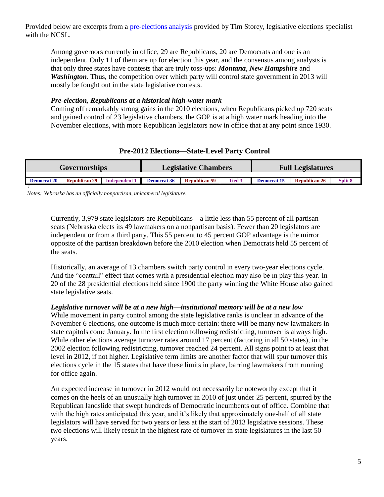Provided below are excerpts from a [pre-elections analysis](http://www.ncsl.org/legislatures-elections/elections/a-wave-or-a-ripple.aspx) provided by Tim Storey, legislative elections specialist with the NCSL.

Among governors currently in office, 29 are Republicans, 20 are Democrats and one is an independent. Only 11 of them are up for election this year, and the consensus among analysts is that only three states have contests that are truly toss-ups: *Montana*, *New Hampshire* and *Washington*. Thus, the competition over which party will control state government in 2013 will mostly be fought out in the state legislative contests.

#### *Pre-election, Republicans at a historical high-water mark*

Coming off remarkably strong gains in the 2010 elections, when Republicans picked up 720 seats and gained control of 23 legislative chambers, the GOP is at a high water mark heading into the November elections, with more Republican legislators now in office that at any point since 1930.

### **Pre-2012 Elections**—**State-Level Party Control**

| <b>Governorships</b> |                      |                      | <b>Legislative Chambers</b> |                      |               | <b>Full Legislatures</b> |                      |                    |
|----------------------|----------------------|----------------------|-----------------------------|----------------------|---------------|--------------------------|----------------------|--------------------|
|                      |                      |                      |                             |                      |               |                          |                      |                    |
| <b>Democrat 20</b>   | <b>Republican 29</b> | <b>Independent 1</b> | <b>Democrat 36</b>          | <b>Republican 59</b> | <b>Tied 3</b> | <b>Democrat 15</b>       | <b>Republican 26</b> | Split <sub>8</sub> |
|                      |                      |                      |                             |                      |               |                          |                      |                    |

*Notes: Nebraska has an officially nonpartisan, unicameral legislature.*

Currently, 3,979 state legislators are Republicans—a little less than 55 percent of all partisan seats (Nebraska elects its 49 lawmakers on a nonpartisan basis). Fewer than 20 legislators are independent or from a third party. This 55 percent to 45 percent GOP advantage is the mirror opposite of the partisan breakdown before the 2010 election when Democrats held 55 percent of the seats.

Historically, an average of 13 chambers switch party control in every two-year elections cycle. And the "coattail" effect that comes with a presidential election may also be in play this year. In 20 of the 28 presidential elections held since 1900 the party winning the White House also gained state legislative seats.

#### *Legislative turnover will be at a new high—institutional memory will be at a new low*

While movement in party control among the state legislative ranks is unclear in advance of the November 6 elections, one outcome is much more certain: there will be many new lawmakers in state capitols come January. In the first election following redistricting, turnover is always high. While other elections average turnover rates around 17 percent (factoring in all 50 states), in the 2002 election following redistricting, turnover reached 24 percent. All signs point to at least that level in 2012, if not higher. Legislative term limits are another factor that will spur turnover this elections cycle in the 15 states that have these limits in place, barring lawmakers from running for office again.

An expected increase in turnover in 2012 would not necessarily be noteworthy except that it comes on the heels of an unusually high turnover in 2010 of just under 25 percent, spurred by the Republican landslide that swept hundreds of Democratic incumbents out of office. Combine that with the high rates anticipated this year, and it's likely that approximately one-half of all state legislators will have served for two years or less at the start of 2013 legislative sessions. These two elections will likely result in the highest rate of turnover in state legislatures in the last 50 years.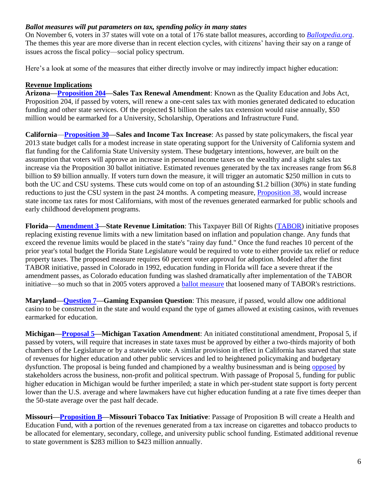#### *Ballot measures will put parameters on tax, spending policy in many states*

On November 6, voters in 37 states will vote on a total of 176 state ballot measures, according to *[Ballotpedia.org](http://www.ballotpedia.org/wiki/index.php/Portal:Ballot_measures)*. The themes this year are more diverse than in recent election cycles, with citizens' having their say on a range of issues across the fiscal policy—social policy spectrum.

Here's a look at some of the measures that either directly involve or may indirectly impact higher education:

#### **Revenue Implications**

**Arizona[—Proposition 204—](http://ballotpedia.net/wiki/index.php/Arizona_Sales_Tax_Renewal_Amendment,_Proposition_204_%282012%29)Sales Tax Renewal Amendment**: Known as the Quality Education and Jobs Act, Proposition 204, if passed by voters, will renew a one-cent sales tax with monies generated dedicated to education funding and other state services. Of the projected \$1 billion the sales tax extension would raise annually, \$50 million would be earmarked for a University, Scholarship, Operations and Infrastructure Fund.

**California**—**[Proposition 30—](http://ballotpedia.org/wiki/index.php/California_Proposition_30,_Sales_and_Income_Tax_Increase_%282012%29)Sales and Income Tax Increase**: As passed by state policymakers, the fiscal year 2013 state budget calls for a modest increase in state operating support for the University of California system and flat funding for the California State University system. These budgetary intentions, however, are built on the assumption that voters will approve an increase in personal income taxes on the wealthy and a slight sales tax increase via the Proposition 30 ballot initiative. Estimated revenues generated by the tax increases range from \$6.8 billion to \$9 billion annually. If voters turn down the measure, it will trigger an automatic \$250 million in cuts to both the UC and CSU systems. These cuts would come on top of an astounding \$1.2 billion (30%) in state funding reductions to just the CSU system in the past 24 months. A competing measure, [Proposition 38,](http://ballotpedia.org/wiki/index.php/California_Proposition_38,_State_Income_Tax_Increase_to_Support_Education_(2012)) would increase state income tax rates for most Californians, with most of the revenues generated earmarked for public schools and early childhood development programs.

**Florida[—Amendment 3—](http://ballotpedia.org/wiki/index.php/Florida_State_Revenue_Limitation,_Amendment_3_(2012))State Revenue Limitation**: This Taxpayer Bill Of Rights [\(TABOR\)](http://en.wikipedia.org/wiki/Taxpayer_Bill_of_Rights) initiative proposes replacing existing revenue limits with a new limitation based on inflation and population change. Any funds that exceed the revenue limits would be placed in the state's "rainy day fund." Once the fund reaches 10 percent of the prior year's total budget the Florida State Legislature would be required to vote to either provide tax relief or reduce property taxes. The proposed measure requires 60 percent voter approval for adoption. Modeled after the first TABOR initiative, passed in Colorado in 1992, education funding in Florida will face a severe threat if the amendment passes, as Colorado education funding was slashed dramatically after implementation of the TABOR initiative—so much so that in 2005 voters approved a [ballot measure](http://ballotpedia.org/wiki/index.php/Colorado_State_Spending_Act_%282005%29) that loosened many of TABOR's restrictions.

**Maryland[—Question 7—](http://ballotpedia.org/wiki/index.php/Maryland_Gaming_Expansion_Question,_Question_7_%282012%29#Text_of_measure)Gaming Expansion Question**: This measure, if passed, would allow one additional casino to be constructed in the state and would expand the type of games allowed at existing casinos, with revenues earmarked for education.

**Michigan[—Proposal 5—](http://ballotpedia.org/wiki/index.php/Michigan_Taxation_Amendment,_Proposal_5_%282012%29)Michigan Taxation Amendment**: An initiated constitutional amendment, Proposal 5, if passed by voters, will require that increases in state taxes must be approved by either a two-thirds majority of both chambers of the Legislature or by a statewide vote. A similar provision in effect in California has starved that state of revenues for higher education and other public services and led to heightened policymaking and budgetary dysfunction. The proposal is being funded and championed by a wealthy businessman and is being [opposed](http://defendmidemocracy.com/our-supporters/) by stakeholders across the business, non-profit and political spectrum. With passage of Proposal 5, funding for public higher education in Michigan would be further imperiled; a state in which per-student state support is forty percent lower than the U.S. average and where lawmakers have cut higher education funding at a rate five times deeper than the 50-state average over the past half decade.

**Missouri[—Proposition B—](http://ballotpedia.org/wiki/index.php/Missouri_Tobacco_Tax_Initiative,_Proposition_B_%282012%29)Missouri Tobacco Tax Initiative**: Passage of Proposition B will create a Health and Education Fund, with a portion of the revenues generated from a tax increase on cigarettes and tobacco products to be allocated for elementary, secondary, college, and university public school funding. Estimated additional revenue to state government is \$283 million to \$423 million annually.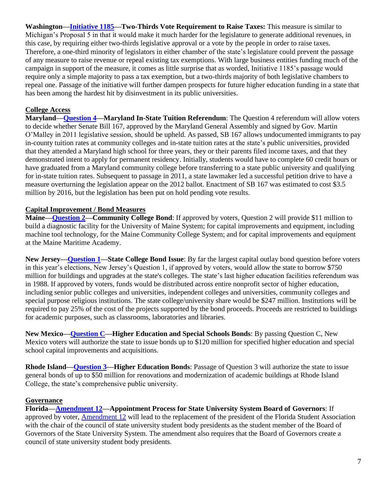**Washington[—Initiative 1185—](http://ballotpedia.org/wiki/index.php/Washington_Two-Thirds_Vote_Required_to_Raise_Taxes,_Initiative_1185_(2012))Two-Thirds Vote Requirement to Raise Taxes:** This measure is similar to Michigan's Proposal 5 in that it would make it much harder for the legislature to generate additional revenues, in this case, by requiring either two-thirds legislative approval or a vote by the people in order to raise taxes. Therefore, a one-third minority of legislators in either chamber of the state's legislature could prevent the passage of any measure to raise revenue or repeal existing tax exemptions. With large business entities funding much of the campaign in support of the measure, it comes as little surprise that as worded, Initiative 1185's passage would require only a simple majority to pass a tax exemption, but a two-thirds majority of both legislative chambers to repeal one. Passage of the initiative will further dampen prospects for future higher education funding in a state that has been among the hardest hit by disinvestment in its public universities.

### **College Access**

**Maryland[—Question 4—](http://ballotpedia.org/wiki/index.php/Maryland_In-State_Tuition_Referendum,_Question_4_%282012%29)Maryland In-State Tuition Referendum**: The Question 4 referendum will allow voters to decide whether Senate Bill 167, approved by the Maryland General Assembly and signed by Gov. Martin O'Malley in 2011 legislative session, should be upheld. As passed, SB 167 allows undocumented immigrants to pay in-county tuition rates at community colleges and in-state tuition rates at the state's public universities, provided that they attended a Maryland high school for three years, they or their parents filed income taxes, and that they demonstrated intent to apply for permanent residency. Initially, students would have to complete 60 credit hours or have graduated from a Maryland community college before transferring to a state public university and qualifying for in-state tuition rates. Subsequent to passage in 2011, a state lawmaker led a successful petition drive to have a measure overturning the legislation appear on the 2012 ballot. Enactment of SB 167 was estimated to cost \$3.5 million by 2016, but the legislation has been put on hold pending vote results.

#### **Capital Improvement / Bond Measures**

**Maine[—Question 2—](http://ballotpedia.org/wiki/index.php/Maine_Community_College_Bond_Question,_Question_2_%282012%29)Community College Bond**: If approved by voters, Question 2 will provide \$11 million to build a diagnostic facility for the University of Maine System; for capital improvements and equipment, including machine tool technology, for the Maine Community College System; and for capital improvements and equipment at the Maine Maritime Academy.

**New Jersey[—Question 1—](http://ballotpedia.org/wiki/index.php/New_Jersey_State_College_Bond_Issue,_Public_Question_1_%282012%29)State College Bond Issue**: By far the largest capital outlay bond question before voters in this year's elections, New Jersey's Question 1, if approved by voters, would allow the state to borrow \$750 million for buildings and upgrades at the state's colleges. The state's last higher education facilities referendum was in 1988. If approved by voters, funds would be distributed across entire nonprofit sector of higher education, including senior public colleges and universities, independent colleges and universities, community colleges and special purpose religious institutions. The state college/university share would be \$247 million. Institutions will be required to pay 25% of the cost of the projects supported by the bond proceeds. Proceeds are restricted to buildings for academic purposes, such as classrooms, laboratories and libraries.

**New Mexico[—Question C—](http://ballotpedia.org/wiki/index.php/New_Mexico_Higher_Education_and_Special_Schools_Bonds,_Bond_Question_C_%282012%29)Higher Education and Special Schools Bonds**: By passing Question C, New Mexico voters will authorize the state to issue bonds up to \$120 million for specified higher education and special school capital improvements and acquisitions.

**Rhode Island[—Question 3—](http://ballotpedia.org/wiki/index.php/Rhode_Island_Higher_Education_Bonds_Question,_Question_3_%282012%29)Higher Education Bonds**: Passage of Question 3 will authorize the state to issue general bonds of up to \$50 million for renovations and modernization of academic buildings at Rhode Island College, the state's comprehensive public university.

#### **Governance**

**Florida[—Amendment 12—](http://ballotpedia.org/wiki/index.php/Florida_Appointment_Process_for_State_University_System_Board_of_Governors_Revision,_Amendment_12_%282012%29)Appointment Process for State University System Board of Governors**: If approved by voter, [Amendment 12](http://ballotpedia.org/wiki/index.php/Florida_Appointment_Process_for_State_University_System_Board_of_Governors_Revision,_Amendment_12_(2012)) will lead to the replacement of the president of the Florida Student Association with the chair of the council of state university student body presidents as the student member of the Board of Governors of the State University System. The amendment also requires that the Board of Governors create a council of state university student body presidents.